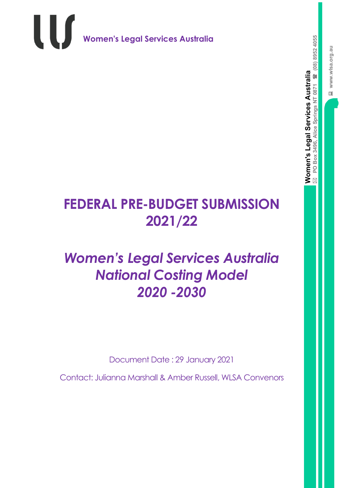**Women's Legal Services Australia**

**PO Box 3496, Alice Springs NT 0871** 

U

**(08) 8952 4055**

 $\boxtimes$ 

## **FEDERAL PRE-BUDGET SUBMISSION 2021/22**

## *Women's Legal Services Australia National Costing Model 2020 -2030*

Document Date : 29 January 2021

Contact: Julianna Marshall & Amber Russell, WLSA Convenors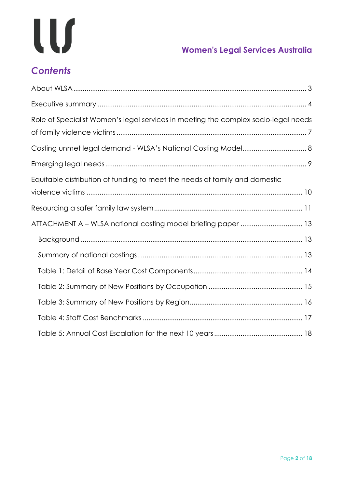# W

## **Women's Legal Services Australia**

## *Contents*

| Role of Specialist Women's legal services in meeting the complex socio-legal needs |
|------------------------------------------------------------------------------------|
|                                                                                    |
|                                                                                    |
|                                                                                    |
| Equitable distribution of funding to meet the needs of family and domestic         |
|                                                                                    |
|                                                                                    |
| ATTACHMENT A - WLSA national costing model briefing paper  13                      |
|                                                                                    |
|                                                                                    |
|                                                                                    |
|                                                                                    |
|                                                                                    |
|                                                                                    |
|                                                                                    |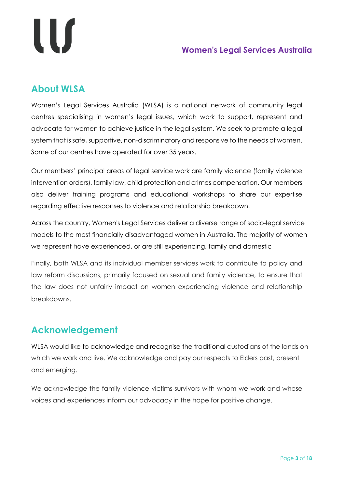# LU

#### **Women's Legal Services Australia**

#### <span id="page-2-0"></span>**About WLSA**

Women's Legal Services Australia (WLSA) is a national network of community legal centres specialising in women's legal issues, which work to support, represent and advocate for women to achieve justice in the legal system. We seek to promote a legal system that is safe, supportive, non-discriminatory and responsive to the needs of women. Some of our centres have operated for over 35 years.

Our members' principal areas of legal service work are family violence (family violence intervention orders), family law, child protection and crimes compensation. Our members also deliver training programs and educational workshops to share our expertise regarding effective responses to violence and relationship breakdown.

Across the country, Women's Legal Services deliver a diverse range of socio-legal service models to the most financially disadvantaged women in Australia. The majority of women we represent have experienced, or are still experiencing, family and domestic

Finally, both WLSA and its individual member services work to contribute to policy and law reform discussions, primarily focused on sexual and family violence, to ensure that the law does not unfairly impact on women experiencing violence and relationship breakdowns.

#### **Acknowledgement**

WLSA would like to acknowledge and recognise the traditional custodians of the lands on which we work and live. We acknowledge and pay our respects to Elders past, present and emerging.

We acknowledge the family violence victims-survivors with whom we work and whose voices and experiences inform our advocacy in the hope for positive change.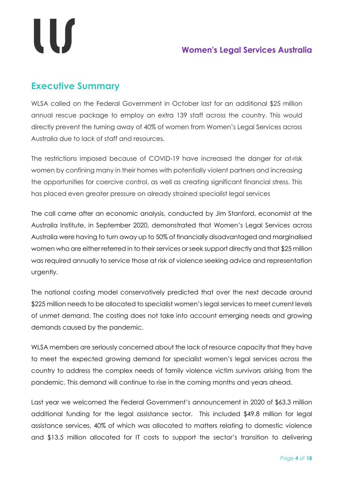#### <span id="page-3-0"></span>**Executive Summary**

WLSA called on the Federal Government in October last for an additional \$25 million annual rescue package to employ an extra 139 staff across the country. This would directly prevent the turning away of 40% of women from Women's Legal Services across Australia due to lack of staff and resources.

The restrictions imposed because of COVID-19 have increased the danger for at-risk women by confining many in their homes with potentially violent partners and increasing the opportunities for coercive control, as well as creating significant financial stress. This has placed even greater pressure on already strained specialist legal services

The call came after an economic analysis, conducted by Jim Stanford, economist at the Australia Institute, in September 2020, demonstrated that Women's Legal Services across Australia were having to turn away up to 50% of financially disadvantaged and marginalised women who are either referred in to their services or seek support directly and that \$25 million was required annually to service those at risk of violence seeking advice and representation urgently.

The national costing model conservatively predicted that over the next decade around \$225 million needs to be allocated to specialist women's legal services to meet current levels of unmet demand. The costing does not take into account emerging needs and growing demands caused by the pandemic.

WLSA members are seriously concerned about the lack of resource capacity that they have to meet the expected growing demand for specialist women's legal services across the country to address the complex needs of family violence victim survivors arising from the pandemic. This demand will continue to rise in the coming months and years ahead.

Last year we welcomed the Federal Government's announcement in 2020 of \$63.3 million additional funding for the legal assistance sector. This included \$49.8 million for legal assistance services, 40% of which was allocated to matters relating to domestic violence and \$13.5 million allocated for IT costs to support the sector's transition to delivering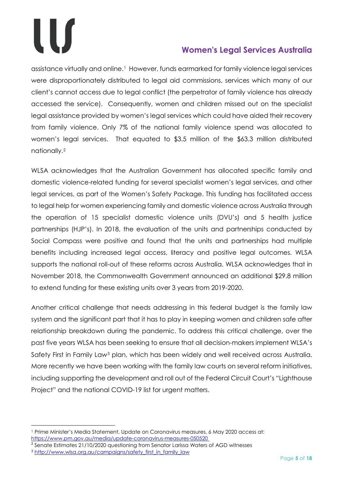assistance virtually and online.[1](#page-4-0) However, funds earmarked for family violence legal services were disproportionately distributed to legal aid commissions, services which many of our client's cannot access due to legal conflict (the perpetrator of family violence has already accessed the service). Consequently, women and children missed out on the specialist legal assistance provided by women's legal services which could have aided their recovery from family violence. Only 7% of the national family violence spend was allocated to women's legal services. That equated to \$3.5 million of the \$63.3 million distributed nationally.[2](#page-4-1)

WLSA acknowledges that the Australian Government has allocated specific family and domestic violence-related funding for several specialist women's legal services, and other legal services, as part of the Women's Safety Package. This funding has facilitated access to legal help for women experiencing family and domestic violence across Australia through the operation of 15 specialist domestic violence units (DVU's) and 5 health justice partnerships (HJP's). In 2018, the evaluation of the units and partnerships conducted by Social Compass were positive and found that the units and partnerships had multiple benefits including increased legal access, literacy and positive legal outcomes. WLSA supports the national roll-out of these reforms across Australia. WLSA acknowledges that in November 2018, the Commonwealth Government announced an additional \$29.8 million to extend funding for these existing units over 3 years from 2019-2020.

Another critical challenge that needs addressing in this federal budget is the family law system and the significant part that it has to play in keeping women and children safe after relationship breakdown during the pandemic. To address this critical challenge, over the past five years WLSA has been seeking to ensure that all decision-makers implement WLSA's Safety First in Family Law<sup>[3](#page-4-2)</sup> plan, which has been widely and well received across Australia. More recently we have been working with the family law courts on several reform initiatives, including supporting the development and roll out of the Federal Circuit Court's "Lighthouse Project" and the national COVID-19 list for urgent matters.

 $\overline{a}$ 

<span id="page-4-0"></span><sup>1</sup> Prime Minister's Media Statement, Update on Coronavirus measures, 6 May 2020 access at: <https://www.pm.gov.au/media/update-coronavirus-measures-050520>

<span id="page-4-1"></span><sup>2</sup> Senate Estimates 21/10/2020 questioning from Senator Larissa Waters of AGD witnesses

<span id="page-4-2"></span><sup>&</sup>lt;sup>3</sup> [http://www.wlsa.org.au/campaigns/safety\\_first\\_in\\_family\\_law](http://www.wlsa.org.au/campaigns/safety_first_in_family_law)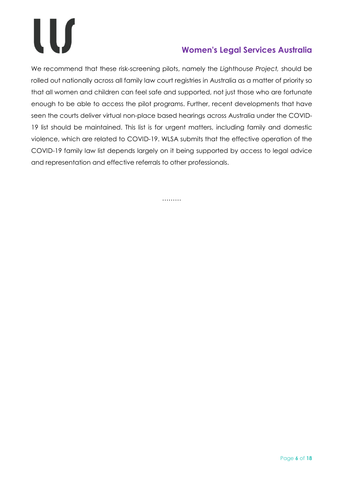We recommend that these risk-screening pilots, namely the *Lighthouse Project,* should be rolled out nationally across all family law court registries in Australia as a matter of priority so that all women and children can feel safe and supported, not just those who are fortunate enough to be able to access the pilot programs. Further, recent developments that have seen the courts deliver virtual non-place based hearings across Australia under the COVID-19 list should be maintained. This list is for urgent matters, including family and domestic violence, which are related to COVID-19. WLSA submits that the effective operation of the COVID-19 family law list depends largely on it being supported by access to legal advice and representation and effective referrals to other professionals.

………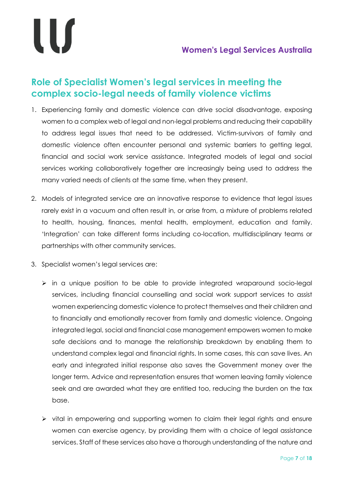### <span id="page-6-0"></span>**Role of Specialist Women's legal services in meeting the complex socio-legal needs of family violence victims**

- 1. Experiencing family and domestic violence can drive social disadvantage, exposing women to a complex web of legal and non-legal problems and reducing their capability to address legal issues that need to be addressed. Victim-survivors of family and domestic violence often encounter personal and systemic barriers to getting legal, financial and social work service assistance. Integrated models of legal and social services working collaboratively together are increasingly being used to address the many varied needs of clients at the same time, when they present.
- 2. Models of integrated service are an innovative response to evidence that legal issues rarely exist in a vacuum and often result in, or arise from, a mixture of problems related to health, housing, finances, mental health, employment, education and family. 'Integration' can take different forms including co-location, multidisciplinary teams or partnerships with other community services.
- 3. Specialist women's legal services are:
	- $\triangleright$  in a unique position to be able to provide integrated wraparound socio-legal services, including financial counselling and social work support services to assist women experiencing domestic violence to protect themselves and their children and to financially and emotionally recover from family and domestic violence. Ongoing integrated legal, social and financial case management empowers women to make safe decisions and to manage the relationship breakdown by enabling them to understand complex legal and financial rights. In some cases, this can save lives. An early and integrated initial response also saves the Government money over the longer term. Advice and representation ensures that women leaving family violence seek and are awarded what they are entitled too, reducing the burden on the tax base.
	- $\triangleright$  vital in empowering and supporting women to claim their legal rights and ensure women can exercise agency, by providing them with a choice of legal assistance services. Staff of these services also have a thorough understanding of the nature and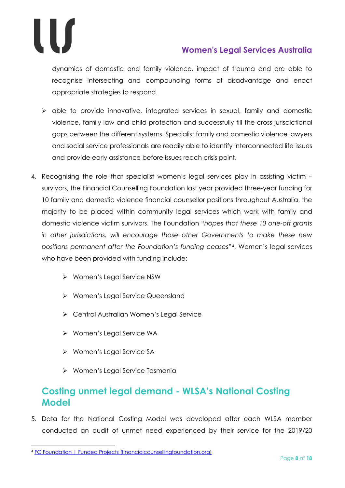

dynamics of domestic and family violence, impact of trauma and are able to recognise intersecting and compounding forms of disadvantage and enact appropriate strategies to respond.

- $\triangleright$  able to provide innovative, integrated services in sexual, family and domestic violence, family law and child protection and successfully fill the cross jurisdictional gaps between the different systems. Specialist family and domestic violence lawyers and social service professionals are readily able to identify interconnected life issues and provide early assistance before issues reach crisis point.
- 4. Recognising the role that specialist women's legal services play in assisting victim survivors, the Financial Counselling Foundation last year provided three-year funding for 10 family and domestic violence financial counsellor positions throughout Australia, the majority to be placed within community legal services which work with family and domestic violence victim survivors. The Foundation "*hopes that these 10 one-off grants in other jurisdictions, will encourage those other Governments to make these new positions permanent after the Foundation's funding ceases*"[4.](#page-7-1) Women's legal services who have been provided with funding include:
	- Women's Legal Service NSW
	- ▶ Women's Legal Service Queensland
	- Central Australian Women's Legal Service
	- ▶ Women's Legal Service WA
	- ▶ Women's Legal Service SA
	- Women's Legal Service Tasmania

#### <span id="page-7-0"></span>**Costing unmet legal demand - WLSA's National Costing Model**

5. Data for the National Costing Model was developed after each WLSA member conducted an audit of unmet need experienced by their service for the 2019/20

 $\overline{a}$ 

<span id="page-7-1"></span><sup>4</sup> [FC Foundation | Funded Projects \(financialcounsellingfoundation.org\)](https://www.financialcounsellingfoundation.org/funded-projects)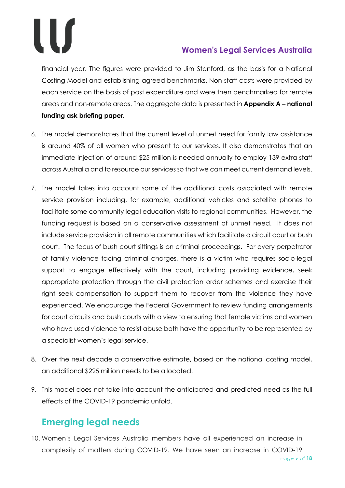financial year. The figures were provided to Jim Stanford, as the basis for a National Costing Model and establishing agreed benchmarks. Non-staff costs were provided by each service on the basis of past expenditure and were then benchmarked for remote areas and non-remote areas. The aggregate data is presented in **Appendix A – national funding ask briefing paper.**

- 6. The model demonstrates that the current level of unmet need for family law assistance is around 40% of all women who present to our services. It also demonstrates that an immediate injection of around \$25 million is needed annually to employ 139 extra staff across Australia and to resource our services so that we can meet current demand levels.
- 7. The model takes into account some of the additional costs associated with remote service provision including, for example, additional vehicles and satellite phones to facilitate some community legal education visits to regional communities. However, the funding request is based on a conservative assessment of unmet need. It does not include service provision in all remote communities which facilitate a circuit court or bush court. The focus of bush court sittings is on criminal proceedings. For every perpetrator of family violence facing criminal charges, there is a victim who requires socio-legal support to engage effectively with the court, including providing evidence, seek appropriate protection through the civil protection order schemes and exercise their right seek compensation to support them to recover from the violence they have experienced. We encourage the Federal Government to review funding arrangements for court circuits and bush courts with a view to ensuring that female victims and women who have used violence to resist abuse both have the opportunity to be represented by a specialist women's legal service.
- 8. Over the next decade a conservative estimate, based on the national costing model, an additional \$225 million needs to be allocated.
- 9. This model does not take into account the anticipated and predicted need as the full effects of the COVID-19 pandemic unfold.

### <span id="page-8-0"></span>**Emerging legal needs**

10. Women's Legal Services Australia members have all experienced an increase in complexity of matters during COVID-19. We have seen an increase in COVID-19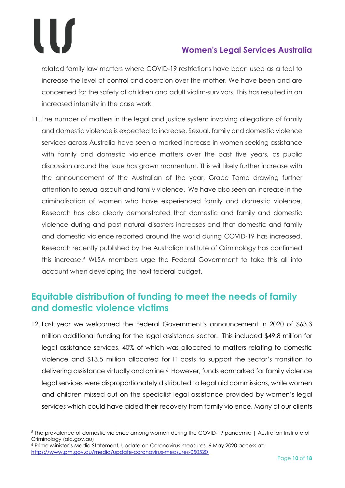$\overline{a}$ 

#### **Women's Legal Services Australia**

related family law matters where COVID-19 restrictions have been used as a tool to increase the level of control and coercion over the mother. We have been and are concerned for the safety of children and adult victim-survivors. This has resulted in an increased intensity in the case work.

11. The number of matters in the legal and justice system involving allegations of family and domestic violence is expected to increase. Sexual, family and domestic violence services across Australia have seen a marked increase in women seeking assistance with family and domestic violence matters over the past five years, as public discussion around the issue has grown momentum. This will likely further increase with the announcement of the Australian of the year, Grace Tame drawing further attention to sexual assault and family violence. We have also seen an increase in the criminalisation of women who have experienced family and domestic violence. Research has also clearly demonstrated that domestic and family and domestic violence during and post natural disasters increases and that domestic and family and domestic violence reported around the world during COVID-19 has increased. Research recently published by the Australian Institute of Criminology has confirmed this increase.[5](#page-9-1) WLSA members urge the Federal Government to take this all into account when developing the next federal budget.

#### <span id="page-9-0"></span>**Equitable distribution of funding to meet the needs of family and domestic violence victims**

12. Last year we welcomed the Federal Government's announcement in 2020 of \$63.3 million additional funding for the legal assistance sector. This included \$49.8 million for legal assistance services, 40% of which was allocated to matters relating to domestic violence and \$13.5 million allocated for IT costs to support the sector's transition to delivering assistance virtually and online.<sup>6</sup> However, funds earmarked for family violence legal services were disproportionately distributed to legal aid commissions, while women and children missed out on the specialist legal assistance provided by women's legal services which could have aided their recovery from family violence. Many of our clients

<span id="page-9-1"></span><sup>5</sup> [The prevalence of domestic violence among women during the COVID-19 pandemic | Australian Institute of](https://www.aic.gov.au/publications/sb/sb28)  [Criminology \(aic.gov.au\)](https://www.aic.gov.au/publications/sb/sb28)

<span id="page-9-2"></span><sup>6</sup> Prime Minister's Media Statement, Update on Coronavirus measures, 6 May 2020 access at: <https://www.pm.gov.au/media/update-coronavirus-measures-050520>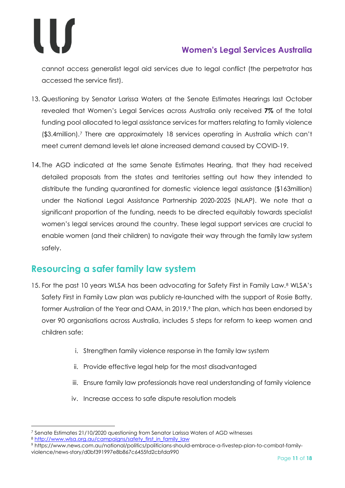cannot access generalist legal aid services due to legal conflict (the perpetrator has accessed the service first).

- 13. Questioning by Senator Larissa Waters at the Senate Estimates Hearings last October revealed that Women's Legal Services across Australia only received **7%** of the total funding pool allocated to legal assistance services for matters relating to family violence (\$3.4million).[7](#page-10-1) There are approximately 18 services operating in Australia which can't meet current demand levels let alone increased demand caused by COVID-19.
- 14. The AGD indicated at the same Senate Estimates Hearing, that they had received detailed proposals from the states and territories setting out how they intended to distribute the funding quarantined for domestic violence legal assistance (\$163million) under the National Legal Assistance Partnership 2020-2025 (NLAP). We note that a significant proportion of the funding, needs to be directed equitably towards specialist women's legal services around the country. These legal support services are crucial to enable women (and their children) to navigate their way through the family law system safely.

#### <span id="page-10-0"></span>**Resourcing a safer family law system**

- 15. For the past 10 years WLSA has been advocating for Safety First in Family Law.<sup>8</sup> WLSA's Safety First in Family Law plan was publicly re-launched with the support of Rosie Batty, former Australian of the Year and OAM, in 201[9](#page-10-3).<sup>9</sup> The plan, which has been endorsed by over 90 organisations across Australia, includes 5 steps for reform to keep women and children safe:
	- i. Strengthen family violence response in the family law system
	- ii. Provide effective legal help for the most disadvantaged
	- iii. Ensure family law professionals have real understanding of family violence
	- iv. Increase access to safe dispute resolution models

 $\overline{a}$ <sup>7</sup> Senate Estimates 21/10/2020 questioning from Senator Larissa Waters of AGD witnesses

<span id="page-10-2"></span><span id="page-10-1"></span><sup>8</sup> [http://www.wlsa.org.au/campaigns/safety\\_first\\_in\\_family\\_law](http://www.wlsa.org.au/campaigns/safety_first_in_family_law)

<span id="page-10-3"></span><sup>9</sup> https://www.news.com.au/national/politics/politicians-should-embrace-a-fivestep-plan-to-combat-familyviolence/news-story/d0bf391997e8b867c6455fd2cbfda990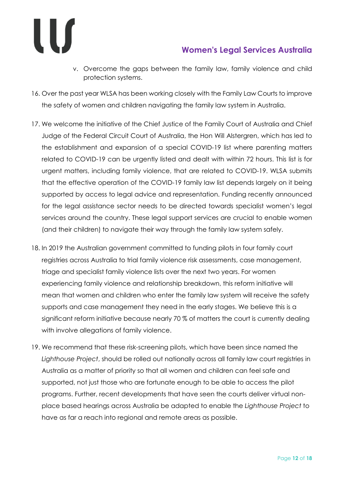- v. Overcome the gaps between the family law, family violence and child protection systems.
- 16. Over the past year WLSA has been working closely with the Family Law Courts to improve the safety of women and children navigating the family law system in Australia.
- 17. We welcome the initiative of the Chief Justice of the Family Court of Australia and Chief Judge of the Federal Circuit Court of Australia, the Hon Will Alstergren, which has led to the establishment and expansion of a special COVID-19 list where parenting matters related to COVID-19 can be urgently listed and dealt with within 72 hours. This list is for urgent matters, including family violence, that are related to COVID-19. WLSA submits that the effective operation of the COVID-19 family law list depends largely on it being supported by access to legal advice and representation. Funding recently announced for the legal assistance sector needs to be directed towards specialist women's legal services around the country. These legal support services are crucial to enable women (and their children) to navigate their way through the family law system safely.
- 18. In 2019 the Australian government committed to funding pilots in four family court registries across Australia to trial family violence risk assessments, case management, triage and specialist family violence lists over the next two years. For women experiencing family violence and relationship breakdown, this reform initiative will mean that women and children who enter the family law system will receive the safety supports and case management they need in the early stages. We believe this is a significant reform initiative because nearly 70 % of matters the court is currently dealing with involve allegations of family violence.
- 19. We recommend that these risk-screening pilots, which have been since named the *Lighthouse Project*, should be rolled out nationally across all family law court registries in Australia as a matter of priority so that all women and children can feel safe and supported, not just those who are fortunate enough to be able to access the pilot programs. Further, recent developments that have seen the courts deliver virtual nonplace based hearings across Australia be adapted to enable the *Lighthouse Project* to have as far a reach into regional and remote areas as possible.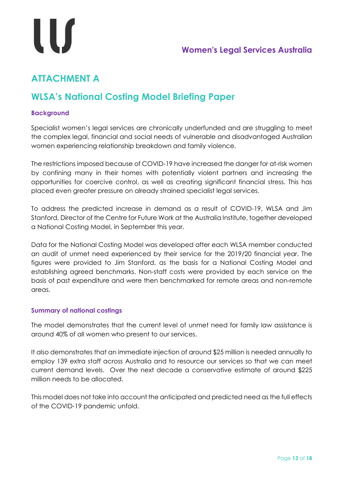# l l S

## <span id="page-12-0"></span>**ATTACHMENT A**

## **WLSA's National Costing Model Briefing Paper**

#### <span id="page-12-1"></span>**Background**

Specialist women's legal services are chronically underfunded and are struggling to meet the complex legal, financial and social needs of vulnerable and disadvantaged Australian women experiencing relationship breakdown and family violence.

The restrictions imposed because of COVID-19 have increased the danger for at-risk women by confining many in their homes with potentially violent partners and increasing the opportunities for coercive control, as well as creating significant financial stress. This has placed even greater pressure on already strained specialist legal services.

To address the predicted increase in demand as a result of COVID-19, WLSA and Jim Stanford, Director of the Centre for Future Work at the Australia Institute, together developed a National Costing Model, in September this year.

Data for the National Costing Model was developed after each WLSA member conducted an audit of unmet need experienced by their service for the 2019/20 financial year. The figures were provided to Jim Stanford, as the basis for a National Costing Model and establishing agreed benchmarks. Non-staff costs were provided by each service on the basis of past expenditure and were then benchmarked for remote areas and non-remote areas.

#### <span id="page-12-2"></span>**Summary of national costings**

The model demonstrates that the current level of unmet need for family law assistance is around 40% of all women who present to our services.

It also demonstrates that an immediate injection of around \$25 million is needed annually to employ 139 extra staff across Australia and to resource our services so that we can meet current demand levels. Over the next decade a conservative estimate of around \$225 million needs to be allocated.

This model does not take into account the anticipated and predicted need as the full effects of the COVID-19 pandemic unfold.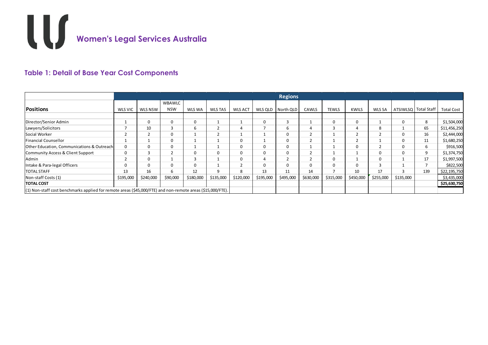

#### **Table 1: Detail of Base Year Cost Components**

<span id="page-13-1"></span><span id="page-13-0"></span>

|                                                                                                              | <b>Regions</b> |             |               |           |                |                |              |           |           |              |                |               |                        |     |                   |
|--------------------------------------------------------------------------------------------------------------|----------------|-------------|---------------|-----------|----------------|----------------|--------------|-----------|-----------|--------------|----------------|---------------|------------------------|-----|-------------------|
|                                                                                                              |                |             | <b>WBAWLC</b> |           |                |                |              |           |           |              |                |               |                        |     |                   |
| <b>Positions</b>                                                                                             | WLS VIC        | WLS NSW     | <b>NSW</b>    | WLS WA    | <b>WLS TAS</b> | <b>WLS ACT</b> | WLS QLD      | North QLD | CAWLS     | <b>TEWLS</b> | <b>KWILS</b>   | <b>WLS SA</b> | ATSIWLSQ   Total Staff |     | <b>Total Cost</b> |
|                                                                                                              |                |             |               |           |                |                |              |           |           |              |                |               |                        |     |                   |
| Director/Senior Admin                                                                                        |                | $\mathbf 0$ |               | 0         |                |                | $\Omega$     |           |           |              | 0              |               | $\Omega$               | 8   | \$1,504,000       |
| Lawyers/Solicitors                                                                                           |                | 10          |               | b         |                |                |              | b         |           |              | 4              | 8             |                        | 65  | \$11,456,250      |
| Social Worker                                                                                                |                |             |               |           |                |                |              | 0         |           |              | $\overline{2}$ | ∠             | $\Omega$               | 16  | \$2,444,000       |
| <b>Financial Counsellor</b>                                                                                  |                |             |               |           |                |                |              | 0         |           |              |                |               |                        | 11  | \$1,680,250       |
| Other Education, Communications & Outreach                                                                   | $\Omega$       | $\Omega$    |               |           |                |                |              |           |           |              | 0              | ۷             |                        | 6   | \$916,500         |
| Community Access & Client Support                                                                            | 0              |             |               |           |                |                |              |           |           |              |                |               |                        | 9   | \$1,374,750       |
| Admin                                                                                                        |                | $\mathbf 0$ |               |           |                |                |              |           |           |              |                | $\Omega$      |                        | 17  | \$1,997,500       |
| Intake & Para-legal Officers                                                                                 |                | $\Omega$    |               |           |                |                | <sup>n</sup> |           | $\Omega$  |              | 0              |               |                        |     | \$822,500         |
| <b>TOTAL STAFF</b>                                                                                           | 13             | 16          |               | 12        |                |                | 13           | 11        | 14        |              | 10             | 17            |                        | 139 | \$22,195,750      |
| Non-staff Costs (1)                                                                                          | \$195,000      | \$240,000   | \$90,000      | \$180,000 | \$135,000      | \$120,000      | \$195,000    | \$495,000 | \$630,000 | \$315,000    | \$450,000      | \$255,000     | \$135,000              |     | \$3,435,000       |
| <b>TOTAL COST</b>                                                                                            |                |             |               |           |                |                |              |           |           |              |                |               |                        |     | \$25,630,750      |
| $(1)$ Non-staff cost benchmarks applied for remote areas (\$45,000/FTE) and non-remote areas (\$15,000/FTE). |                |             |               |           |                |                |              |           |           |              |                |               |                        |     |                   |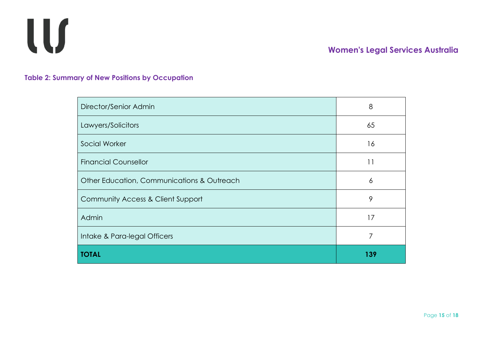

**Table 2: Summary of New Positions by Occupation**

| Director/Senior Admin                      | 8   |
|--------------------------------------------|-----|
| Lawyers/Solicitors                         | 65  |
| Social Worker                              | 16  |
| <b>Financial Counsellor</b>                | 11  |
| Other Education, Communications & Outreach | 6   |
| Community Access & Client Support          | 9   |
| Admin                                      | 17  |
| Intake & Para-legal Officers               | 7   |
| <b>TOTAL</b>                               | 139 |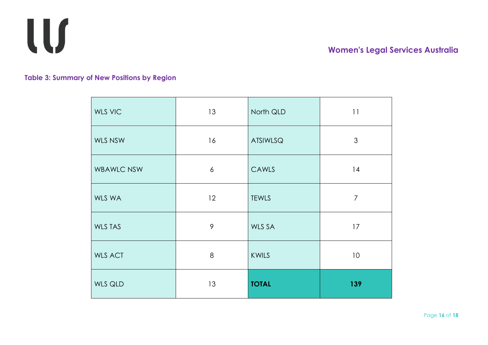

**Table 3: Summary of New Positions by Region**

<span id="page-15-0"></span>

| <b>WLS VIC</b>    | 13 | North QLD       | 11              |
|-------------------|----|-----------------|-----------------|
| WLS NSW           | 16 | <b>ATSIWLSQ</b> | $\mathfrak{S}$  |
| <b>WBAWLC NSW</b> | 6  | CAWLS           | 14              |
| WLS WA            | 12 | <b>TEWLS</b>    | $\overline{7}$  |
| <b>WLS TAS</b>    | 9  | WLS SA          | 17              |
| <b>WLS ACT</b>    | 8  | KWILS           | 10 <sup>°</sup> |
| WLS QLD           | 13 | <b>TOTAL</b>    | 139             |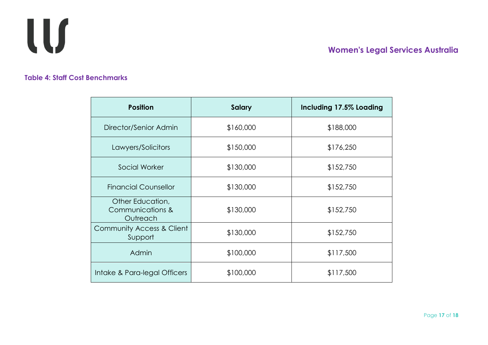

#### **Table 4: Staff Cost Benchmarks**

<span id="page-16-0"></span>

| <b>Position</b>                                  | <b>Salary</b> | Including 17.5% Loading |
|--------------------------------------------------|---------------|-------------------------|
| Director/Senior Admin                            | \$160,000     | \$188,000               |
| Lawyers/Solicitors                               | \$150,000     | \$176,250               |
| Social Worker                                    | \$130,000     | \$152,750               |
| <b>Financial Counsellor</b>                      | \$130,000     | \$152,750               |
| Other Education,<br>Communications &<br>Outreach | \$130,000     | \$152,750               |
| Community Access & Client<br>Support             | \$130,000     | \$152,750               |
| Admin                                            | \$100,000     | \$117,500               |
| Intake & Para-legal Officers                     | \$100,000     | \$117,500               |